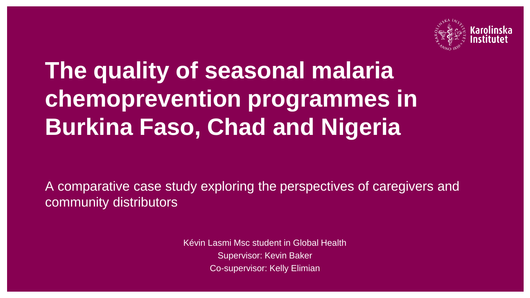

# **The quality of seasonal malaria chemoprevention programmes in Burkina Faso, Chad and Nigeria**

A comparative case study exploring the perspectives of caregivers and community distributors

> Kévin Lasmi Msc student in Global Health Supervisor: Kevin Baker Co-supervisor: Kelly Elimian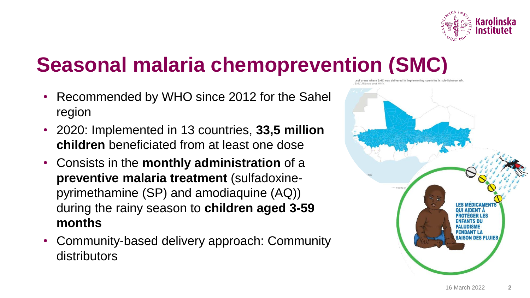

## **Seasonal malaria chemoprevention (SMC)**

- Recommended by WHO since 2012 for the Sahel region
- 2020: Implemented in 13 countries, **33,5 million children** beneficiated from at least one dose
- Consists in the **monthly administration** of a **preventive malaria treatment** (sulfadoxinepyrimethamine (SP) and amodiaquine (AQ)) during the rainy season to **children aged 3-59 months**
- Community-based delivery approach: Community distributors

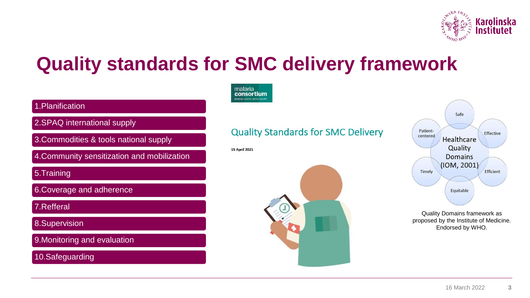

#### **Quality standards for SMC delivery framework**



#### 1.Planification

2.SPAQ international supply

3.Commodities & tools national supply

4.Community sensitization and mobilization

5.Training

6.Coverage and adherence

7.Refferal

8.Supervision

9.Monitoring and evaluation

10.Safeguarding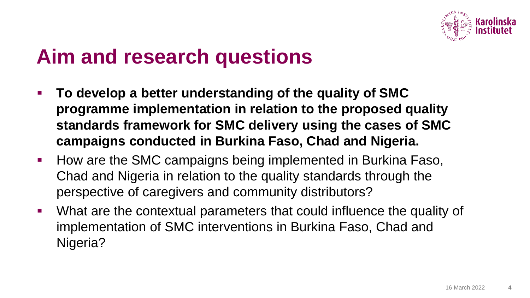

#### **Aim and research questions**

- **To develop a better understanding of the quality of SMC programme implementation in relation to the proposed quality standards framework for SMC delivery using the cases of SMC campaigns conducted in Burkina Faso, Chad and Nigeria.**
- How are the SMC campaigns being implemented in Burkina Faso, Chad and Nigeria in relation to the quality standards through the perspective of caregivers and community distributors?
- What are the contextual parameters that could influence the quality of implementation of SMC interventions in Burkina Faso, Chad and Nigeria?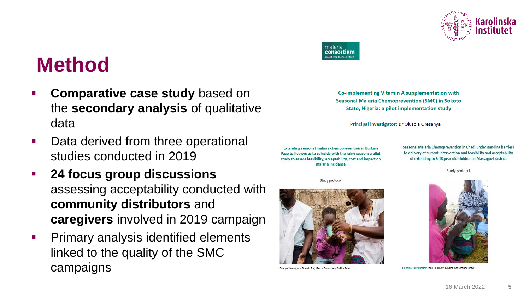

#### **Method**

- **Comparative case study based on** the **secondary analysis** of qualitative data
- Data derived from three operational studies conducted in 2019
- **24 focus group discussions**  assessing acceptability conducted with **community distributors** and **caregivers** involved in 2019 campaign
- **Primary analysis identified elements** linked to the quality of the SMC campaigns



**Co-implementing Vitamin A supplementation with Seasonal Malaria Chemoprevention (SMC) in Sokoto State, Nigeria: a pilot implementation study** 

Principal investigator: Dr Olusola Oresanya

Extending seasonal malaria chemoprevention in Burkina Faso to five cycles to coincide with the rainy season: a pilot study to assess feasibility, acceptability, cost and impact on malaria incidence

Study protocol



Study protocol



Principal investigator: Dr Alain Toe, Malaria Consortium, Burkina Faso



Principal investigator: Zana Coulibaly, Malaria Consortium, Chad

**5**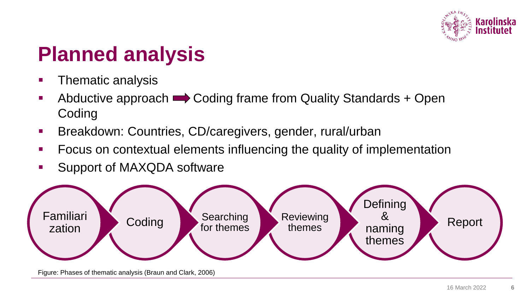

### **Planned analysis**

- **•** Thematic analysis
- $\bullet$  Abductive approach  $\rightarrow$  Coding frame from Quality Standards + Open Coding
- **EXP** Breakdown: Countries, CD/caregivers, gender, rural/urban
- Focus on contextual elements influencing the quality of implementation
- Support of MAXQDA software



Figure: Phases of thematic analysis (Braun and Clark, 2006)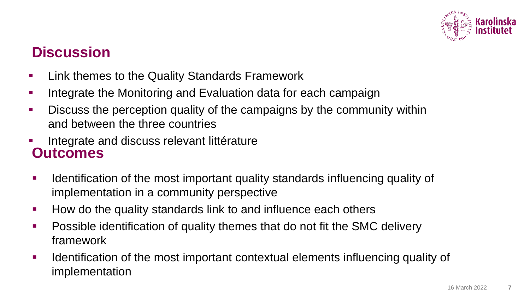

#### **Discussion**

- **EXEC** Link themes to the Quality Standards Framework
- **Integrate the Monitoring and Evaluation data for each campaign**
- **EXEDE EXE** Discuss the perception quality of the campaigns by the community within and between the three countries
- Integrate and discuss relevant littérature **Outcomes**
- Identification of the most important quality standards influencing quality of implementation in a community perspective
- How do the quality standards link to and influence each others
- Possible identification of quality themes that do not fit the SMC delivery framework
- **EXED** Identification of the most important contextual elements influencing quality of implementation